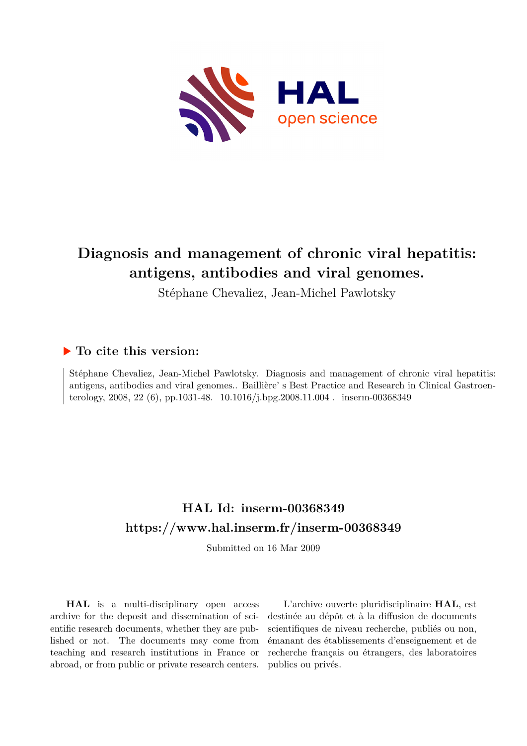

# **Diagnosis and management of chronic viral hepatitis: antigens, antibodies and viral genomes.**

Stéphane Chevaliez, Jean-Michel Pawlotsky

# **To cite this version:**

Stéphane Chevaliez, Jean-Michel Pawlotsky. Diagnosis and management of chronic viral hepatitis: antigens, antibodies and viral genomes.. Baillière' s Best Practice and Research in Clinical Gastroenterology, 2008, 22 (6), pp.1031-48.  $10.1016/j.bpg.2008.11.004$ . inserm-00368349

# **HAL Id: inserm-00368349 <https://www.hal.inserm.fr/inserm-00368349>**

Submitted on 16 Mar 2009

**HAL** is a multi-disciplinary open access archive for the deposit and dissemination of scientific research documents, whether they are published or not. The documents may come from teaching and research institutions in France or abroad, or from public or private research centers.

L'archive ouverte pluridisciplinaire **HAL**, est destinée au dépôt et à la diffusion de documents scientifiques de niveau recherche, publiés ou non, émanant des établissements d'enseignement et de recherche français ou étrangers, des laboratoires publics ou privés.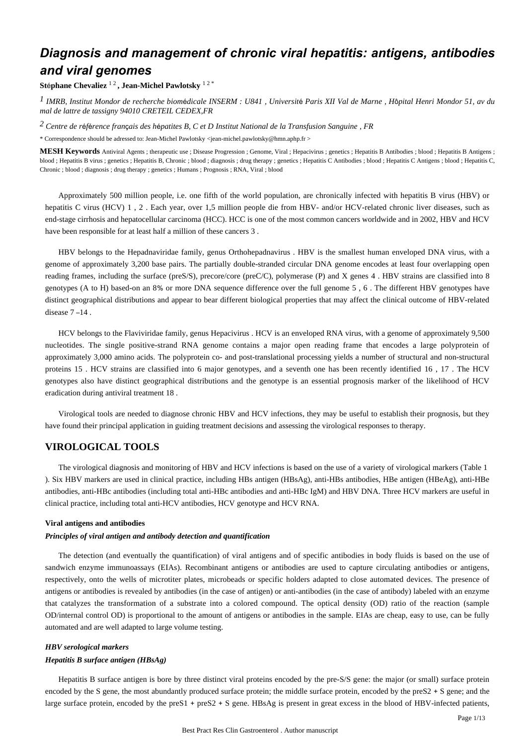# *Diagnosis and management of chronic viral hepatitis: antigens, antibodies and viral genomes*

## **St**é**phane Chevaliez** 1 2 **, Jean-Michel Pawlotsky** 1 2 \*

*IMRB, Institut Mondor de recherche biom dicale 1* <sup>é</sup> *INSERM : U841 , Universit*é *Paris XII Val de Marne , H*ô*pital Henri Mondor 51, av du mal de lattre de tassigny 94010 CRETEIL CEDEX,FR*

*Centre de r f rence fran ais des h patites B, C et D 2* <sup>é</sup> <sup>é</sup> <sup>ç</sup> <sup>é</sup> *Institut National de la Transfusion Sanguine , FR*

\* Correspondence should be adressed to: Jean-Michel Pawlotsky <jean-michel.pawlotsky@hmn.aphp.fr >

**MESH Keywords** Antiviral Agents ; therapeutic use ; Disease Progression ; Genome, Viral ; Hepacivirus ; genetics ; Hepatitis B Antibodies ; blood ; Hepatitis B Antigens ; blood ; Hepatitis B virus ; genetics ; Hepatitis B, Chronic ; blood ; diagnosis ; drug therapy ; genetics ; Hepatitis C Antibodies ; blood ; Hepatitis C Antigens ; blood ; Hepatitis C, Chronic ; blood ; diagnosis ; drug therapy ; genetics ; Humans ; Prognosis ; RNA, Viral ; blood

Approximately 500 million people, i.e. one fifth of the world population, are chronically infected with hepatitis B virus (HBV) or hepatitis C virus (HCV) 1, 2. Each year, over 1,5 million people die from HBV- and/or HCV-related chronic liver diseases, such as end-stage cirrhosis and hepatocellular carcinoma (HCC). HCC is one of the most common cancers worldwide and in 2002, HBV and HCV have been responsible for at least half a million of these cancers 3 .

HBV belongs to the Hepadnaviridae family, genus Orthohepadnavirus . HBV is the smallest human enveloped DNA virus, with a genome of approximately 3,200 base pairs. The partially double-stranded circular DNA genome encodes at least four overlapping open reading frames, including the surface (preS/S), precore/core (preC/C), polymerase (P) and X genes 4 . HBV strains are classified into 8 genotypes (A to H) based-on an 8% or more DNA sequence difference over the full genome 5 , 6 . The different HBV genotypes have distinct geographical distributions and appear to bear different biological properties that may affect the clinical outcome of HBV-related disease 7 –14 .

HCV belongs to the Flaviviridae family, genus Hepacivirus . HCV is an enveloped RNA virus, with a genome of approximately 9,500 nucleotides. The single positive-strand RNA genome contains a major open reading frame that encodes a large polyprotein of approximately 3,000 amino acids. The polyprotein co- and post-translational processing yields a number of structural and non-structural proteins 15 . HCV strains are classified into 6 major genotypes, and a seventh one has been recently identified 16 , 17 . The HCV genotypes also have distinct geographical distributions and the genotype is an essential prognosis marker of the likelihood of HCV eradication during antiviral treatment 18 .

Virological tools are needed to diagnose chronic HBV and HCV infections, they may be useful to establish their prognosis, but they have found their principal application in guiding treatment decisions and assessing the virological responses to therapy.

# **VIROLOGICAL TOOLS**

The virological diagnosis and monitoring of HBV and HCV infections is based on the use of a variety of virological markers (Table 1 ). Six HBV markers are used in clinical practice, including HBs antigen (HBsAg), anti-HBs antibodies, HBe antigen (HBeAg), anti-HBe antibodies, anti-HBc antibodies (including total anti-HBc antibodies and anti-HBc IgM) and HBV DNA. Three HCV markers are useful in clinical practice, including total anti-HCV antibodies, HCV genotype and HCV RNA.

#### **Viral antigens and antibodies**

#### *Principles of viral antigen and antibody detection and quantification*

The detection (and eventually the quantification) of viral antigens and of specific antibodies in body fluids is based on the use of sandwich enzyme immunoassays (EIAs). Recombinant antigens or antibodies are used to capture circulating antibodies or antigens, respectively, onto the wells of microtiter plates, microbeads or specific holders adapted to close automated devices. The presence of antigens or antibodies is revealed by antibodies (in the case of antigen) or anti-antibodies (in the case of antibody) labeled with an enzyme that catalyzes the transformation of a substrate into a colored compound. The optical density (OD) ratio of the reaction (sample OD/internal control OD) is proportional to the amount of antigens or antibodies in the sample. EIAs are cheap, easy to use, can be fully automated and are well adapted to large volume testing.

## *HBV serological markers*

#### *Hepatitis B surface antigen (HBsAg)*

Hepatitis B surface antigen is bore by three distinct viral proteins encoded by the pre-S/S gene: the major (or small) surface protein encoded by the S gene, the most abundantly produced surface protein; the middle surface protein, encoded by the preS2 + S gene; and the large surface protein, encoded by the preS1 + preS2 + S gene. HBsAg is present in great excess in the blood of HBV-infected patients,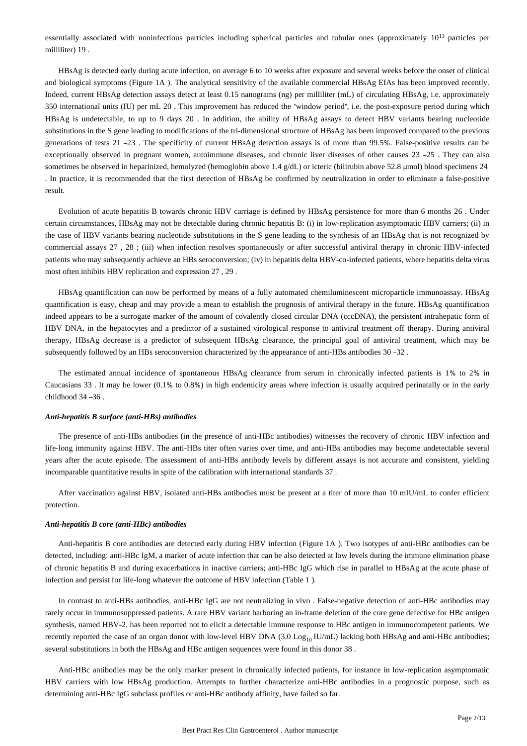essentially associated with noninfectious particles including spherical particles and tubular ones (approximately 10<sup>13</sup> particles per milliliter) 19 .

HBsAg is detected early during acute infection, on average 6 to 10 weeks after exposure and several weeks before the onset of clinical and biological symptoms (Figure 1A ). The analytical sensitivity of the available commercial HBsAg EIAs has been improved recently. Indeed, current HBsAg detection assays detect at least 0.15 nanograms (ng) per milliliter (mL) of circulating HBsAg, i.e. approximately 350 international units (IU) per mL 20 . This improvement has reduced the "window period", i.e. the post-exposure period during which HBsAg is undetectable, to up to 9 days 20 . In addition, the ability of HBsAg assays to detect HBV variants bearing nucleotide substitutions in the S gene leading to modifications of the tri-dimensional structure of HBsAg has been improved compared to the previous generations of tests 21 –23 . The specificity of current HBsAg detection assays is of more than 99.5%. False-positive results can be exceptionally observed in pregnant women, autoimmune diseases, and chronic liver diseases of other causes 23 –25 . They can also sometimes be observed in heparinized, hemolyzed (hemoglobin above 1.4 g/dL) or icteric (bilirubin above 52.8 μmol) blood specimens 24 . In practice, it is recommended that the first detection of HBsAg be confirmed by neutralization in order to eliminate a false-positive result.

Evolution of acute hepatitis B towards chronic HBV carriage is defined by HBsAg persistence for more than 6 months 26 . Under certain circumstances, HBsAg may not be detectable during chronic hepatitis B: (i) in low-replication asymptomatic HBV carriers; (ii) in the case of HBV variants bearing nucleotide substitutions in the S gene leading to the synthesis of an HBsAg that is not recognized by commercial assays 27 , 28 ; (iii) when infection resolves spontaneously or after successful antiviral therapy in chronic HBV-infected patients who may subsequently achieve an HBs seroconversion; (iv) in hepatitis delta HBV-co-infected patients, where hepatitis delta virus most often inhibits HBV replication and expression 27 , 29 .

HBsAg quantification can now be performed by means of a fully automated chemiluminescent microparticle immunoassay. HBsAg quantification is easy, cheap and may provide a mean to establish the prognosis of antiviral therapy in the future. HBsAg quantification indeed appears to be a surrogate marker of the amount of covalently closed circular DNA (cccDNA), the persistent intrahepatic form of HBV DNA, in the hepatocytes and a predictor of a sustained virological response to antiviral treatment off therapy. During antiviral therapy, HBsAg decrease is a predictor of subsequent HBsAg clearance, the principal goal of antiviral treatment, which may be subsequently followed by an HBs seroconversion characterized by the appearance of anti-HBs antibodies 30 –32 .

The estimated annual incidence of spontaneous HBsAg clearance from serum in chronically infected patients is 1% to 2% in Caucasians 33 . It may be lower (0.1% to 0.8%) in high endemicity areas where infection is usually acquired perinatally or in the early childhood 34 –36 .

#### *Anti-hepatitis B surface (anti-HBs) antibodies*

The presence of anti-HBs antibodies (in the presence of anti-HBc antibodies) witnesses the recovery of chronic HBV infection and life-long immunity against HBV. The anti-HBs titer often varies over time, and anti-HBs antibodies may become undetectable several years after the acute episode. The assessment of anti-HBs antibody levels by different assays is not accurate and consistent, yielding incomparable quantitative results in spite of the calibration with international standards 37 .

After vaccination against HBV, isolated anti-HBs antibodies must be present at a titer of more than 10 mIU/mL to confer efficient protection.

#### *Anti-hepatitis B core (anti-HBc) antibodies*

Anti-hepatitis B core antibodies are detected early during HBV infection (Figure 1A ). Two isotypes of anti-HBc antibodies can be detected, including: anti-HBc IgM, a marker of acute infection that can be also detected at low levels during the immune elimination phase of chronic hepatitis B and during exacerbations in inactive carriers; anti-HBc IgG which rise in parallel to HBsAg at the acute phase of infection and persist for life-long whatever the outcome of HBV infection (Table 1 ).

In contrast to anti-HBs antibodies, anti-HBc IgG are not neutralizing in vivo . False-negative detection of anti-HBc antibodies may rarely occur in immunosuppressed patients. A rare HBV variant harboring an in-frame deletion of the core gene defective for HBc antigen synthesis, named HBV-2, has been reported not to elicit a detectable immune response to HBc antigen in immunocompetent patients. We recently reported the case of an organ donor with low-level HBV DNA (3.0 Log<sub>10</sub> IU/mL) lacking both HBsAg and anti-HBc antibodies; several substitutions in both the HBsAg and HBc antigen sequences were found in this donor 38 .

Anti-HBc antibodies may be the only marker present in chronically infected patients, for instance in low-replication asymptomatic HBV carriers with low HBsAg production. Attempts to further characterize anti-HBc antibodies in a prognostic purpose, such as determining anti-HBc IgG subclass profiles or anti-HBc antibody affinity, have failed so far.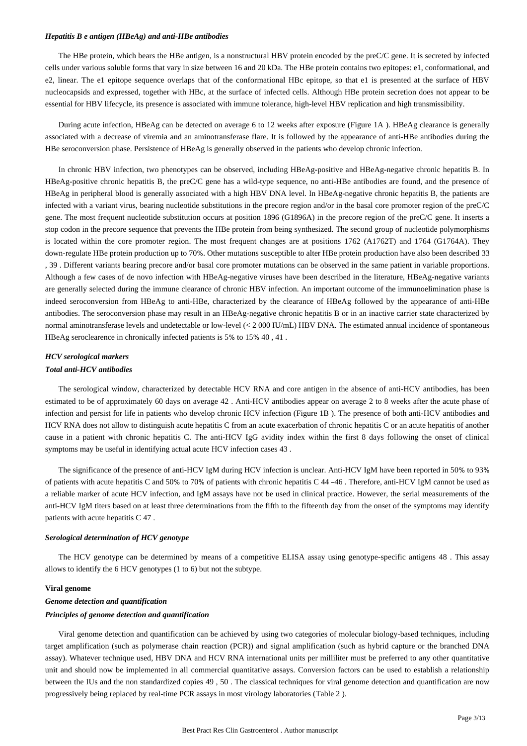#### *Hepatitis B e antigen (HBeAg) and anti-HBe antibodies*

The HBe protein, which bears the HBe antigen, is a nonstructural HBV protein encoded by the preC/C gene. It is secreted by infected cells under various soluble forms that vary in size between 16 and 20 kDa. The HBe protein contains two epitopes: e1, conformational, and e2, linear. The e1 epitope sequence overlaps that of the conformational HBc epitope, so that e1 is presented at the surface of HBV nucleocapsids and expressed, together with HBc, at the surface of infected cells. Although HBe protein secretion does not appear to be essential for HBV lifecycle, its presence is associated with immune tolerance, high-level HBV replication and high transmissibility.

During acute infection, HBeAg can be detected on average 6 to 12 weeks after exposure (Figure 1A ). HBeAg clearance is generally associated with a decrease of viremia and an aminotransferase flare. It is followed by the appearance of anti-HBe antibodies during the HBe seroconversion phase. Persistence of HBeAg is generally observed in the patients who develop chronic infection.

In chronic HBV infection, two phenotypes can be observed, including HBeAg-positive and HBeAg-negative chronic hepatitis B. In HBeAg-positive chronic hepatitis B, the preC/C gene has a wild-type sequence, no anti-HBe antibodies are found, and the presence of HBeAg in peripheral blood is generally associated with a high HBV DNA level. In HBeAg-negative chronic hepatitis B, the patients are infected with a variant virus, bearing nucleotide substitutions in the precore region and/or in the basal core promoter region of the preC/C gene. The most frequent nucleotide substitution occurs at position 1896 (G1896A) in the precore region of the preC/C gene. It inserts a stop codon in the precore sequence that prevents the HBe protein from being synthesized. The second group of nucleotide polymorphisms is located within the core promoter region. The most frequent changes are at positions 1762 (A1762T) and 1764 (G1764A). They down-regulate HBe protein production up to 70%. Other mutations susceptible to alter HBe protein production have also been described 33 , 39 . Different variants bearing precore and/or basal core promoter mutations can be observed in the same patient in variable proportions. Although a few cases of de novo infection with HBeAg-negative viruses have been described in the literature, HBeAg-negative variants are generally selected during the immune clearance of chronic HBV infection. An important outcome of the immunoelimination phase is indeed seroconversion from HBeAg to anti-HBe, characterized by the clearance of HBeAg followed by the appearance of anti-HBe antibodies. The seroconversion phase may result in an HBeAg-negative chronic hepatitis B or in an inactive carrier state characterized by normal aminotransferase levels and undetectable or low-level (< 2 000 IU/mL) HBV DNA. The estimated annual incidence of spontaneous HBeAg seroclearence in chronically infected patients is 5% to 15% 40 , 41 .

# *HCV serological markers Total anti-HCV antibodies*

The serological window, characterized by detectable HCV RNA and core antigen in the absence of anti-HCV antibodies, has been estimated to be of approximately 60 days on average 42 . Anti-HCV antibodies appear on average 2 to 8 weeks after the acute phase of infection and persist for life in patients who develop chronic HCV infection (Figure 1B ). The presence of both anti-HCV antibodies and HCV RNA does not allow to distinguish acute hepatitis C from an acute exacerbation of chronic hepatitis C or an acute hepatitis of another cause in a patient with chronic hepatitis C. The anti-HCV IgG avidity index within the first 8 days following the onset of clinical symptoms may be useful in identifying actual acute HCV infection cases 43 .

The significance of the presence of anti-HCV IgM during HCV infection is unclear. Anti-HCV IgM have been reported in 50% to 93% of patients with acute hepatitis C and 50% to 70% of patients with chronic hepatitis C 44 –46 . Therefore, anti-HCV IgM cannot be used as a reliable marker of acute HCV infection, and IgM assays have not be used in clinical practice. However, the serial measurements of the anti-HCV IgM titers based on at least three determinations from the fifth to the fifteenth day from the onset of the symptoms may identify patients with acute hepatitis C 47 .

#### *Serological determination of HCV genotype*

The HCV genotype can be determined by means of a competitive ELISA assay using genotype-specific antigens 48 . This assay allows to identify the 6 HCV genotypes (1 to 6) but not the subtype.

#### **Viral genome**

## *Genome detection and quantification Principles of genome detection and quantification*

Viral genome detection and quantification can be achieved by using two categories of molecular biology-based techniques, including target amplification (such as polymerase chain reaction (PCR)) and signal amplification (such as hybrid capture or the branched DNA assay). Whatever technique used, HBV DNA and HCV RNA international units per milliliter must be preferred to any other quantitative unit and should now be implemented in all commercial quantitative assays. Conversion factors can be used to establish a relationship between the IUs and the non standardized copies 49 , 50 . The classical techniques for viral genome detection and quantification are now progressively being replaced by real-time PCR assays in most virology laboratories (Table 2 ).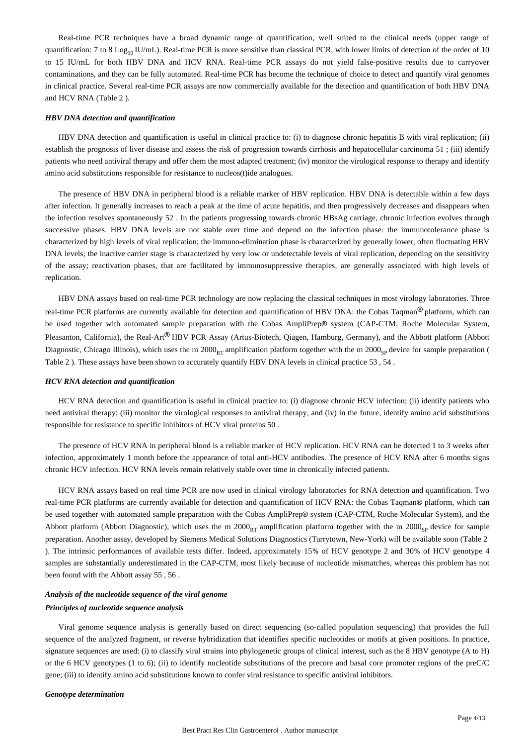Real-time PCR techniques have a broad dynamic range of quantification, well suited to the clinical needs (upper range of quantification: 7 to 8 Log<sub>10</sub> IU/mL). Real-time PCR is more sensitive than classical PCR, with lower limits of detection of the order of 10 to 15 IU/mL for both HBV DNA and HCV RNA. Real-time PCR assays do not yield false-positive results due to carryover contaminations, and they can be fully automated. Real-time PCR has become the technique of choice to detect and quantify viral genomes in clinical practice. Several real-time PCR assays are now commercially available for the detection and quantification of both HBV DNA and HCV RNA (Table 2 ).

#### *HBV DNA detection and quantification*

HBV DNA detection and quantification is useful in clinical practice to: (i) to diagnose chronic hepatitis B with viral replication; (ii) establish the prognosis of liver disease and assess the risk of progression towards cirrhosis and hepatocellular carcinoma 51 ; (iii) identify patients who need antiviral therapy and offer them the most adapted treatment; (iv) monitor the virological response to therapy and identify amino acid substitutions responsible for resistance to nucleos(t)ide analogues.

The presence of HBV DNA in peripheral blood is a reliable marker of HBV replication. HBV DNA is detectable within a few days after infection. It generally increases to reach a peak at the time of acute hepatitis, and then progressively decreases and disappears when the infection resolves spontaneously 52 . In the patients progressing towards chronic HBsAg carriage, chronic infection evolves through successive phases. HBV DNA levels are not stable over time and depend on the infection phase: the immunotolerance phase is characterized by high levels of viral replication; the immuno-elimination phase is characterized by generally lower, often fluctuating HBV DNA levels; the inactive carrier stage is characterized by very low or undetectable levels of viral replication, depending on the sensitivity of the assay; reactivation phases, that are facilitated by immunosuppressive therapies, are generally associated with high levels of replication.

HBV DNA assays based on real-time PCR technology are now replacing the classical techniques in most virology laboratories. Three real-time PCR platforms are currently available for detection and quantification of HBV DNA: the Cobas Taqman® platform, which can be used together with automated sample preparation with the Cobas AmpliPrep® system (CAP-CTM, Roche Molecular System, Pleasanton, California), the Real-Art® HBV PCR Assay (Artus-Biotech, Qiagen, Hamburg, Germany), and the Abbott platform (Abbott Diagnostic, Chicago Illinois), which uses the m  $2000<sub>RT</sub>$  amplification platform together with the m  $2000<sub>SP</sub>$  device for sample preparation ( Table 2 ). These assays have been shown to accurately quantify HBV DNA levels in clinical practice 53 , 54 .

#### *HCV RNA detection and quantification*

HCV RNA detection and quantification is useful in clinical practice to: (i) diagnose chronic HCV infection; (ii) identify patients who need antiviral therapy; (iii) monitor the virological responses to antiviral therapy, and (iv) in the future, identify amino acid substitutions responsible for resistance to specific inhibitors of HCV viral proteins 50 .

The presence of HCV RNA in peripheral blood is a reliable marker of HCV replication. HCV RNA can be detected 1 to 3 weeks after infection, approximately 1 month before the appearance of total anti-HCV antibodies. The presence of HCV RNA after 6 months signs chronic HCV infection. HCV RNA levels remain relatively stable over time in chronically infected patients.

HCV RNA assays based on real time PCR are now used in clinical virology laboratories for RNA detection and quantification. Two real-time PCR platforms are currently available for detection and quantification of HCV RNA: the Cobas Tagman® platform, which can be used together with automated sample preparation with the Cobas AmpliPrep® system (CAP-CTM, Roche Molecular System), and the Abbott platform (Abbott Diagnostic), which uses the m  $2000<sub>PT</sub>$  amplification platform together with the m  $2000<sub>SP</sub>$  device for sample preparation. Another assay, developed by Siemens Medical Solutions Diagnostics (Tarrytown, New-York) will be available soon (Table 2 ). The intrinsic performances of available tests differ. Indeed, approximately 15% of HCV genotype 2 and 30% of HCV genotype 4 samples are substantially underestimated in the CAP-CTM, most likely because of nucleotide mismatches, whereas this problem has not been found with the Abbott assay 55 , 56 .

# *Analysis of the nucleotide sequence of the viral genome Principles of nucleotide sequence analysis*

Viral genome sequence analysis is generally based on direct sequencing (so-called population sequencing) that provides the full sequence of the analyzed fragment, or reverse hybridization that identifies specific nucleotides or motifs at given positions. In practice, signature sequences are used: (i) to classify viral strains into phylogenetic groups of clinical interest, such as the 8 HBV genotype (A to H) or the 6 HCV genotypes (1 to 6); (ii) to identify nucleotide substitutions of the precore and basal core promoter regions of the preC/C gene; (iii) to identify amino acid substitutions known to confer viral resistance to specific antiviral inhibitors.

*Genotype determination*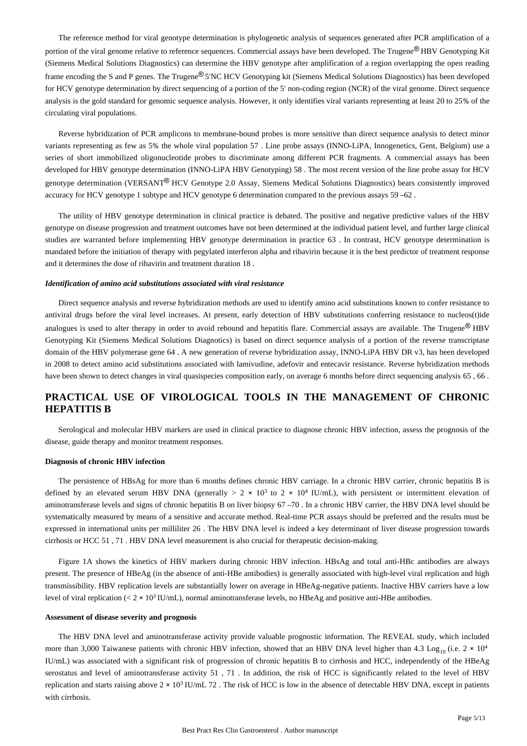The reference method for viral genotype determination is phylogenetic analysis of sequences generated after PCR amplification of a portion of the viral genome relative to reference sequences. Commercial assays have been developed. The Trugene® HBV Genotyping Kit (Siemens Medical Solutions Diagnostics) can determine the HBV genotype after amplification of a region overlapping the open reading frame encoding the S and P genes. The Trugene<sup>®</sup> 5′NC HCV Genotyping kit (Siemens Medical Solutions Diagnostics) has been developed for HCV genotype determination by direct sequencing of a portion of the 5' non-coding region (NCR) of the viral genome. Direct sequence analysis is the gold standard for genomic sequence analysis. However, it only identifies viral variants representing at least 20 to 25% of the circulating viral populations.

Reverse hybridization of PCR amplicons to membrane-bound probes is more sensitive than direct sequence analysis to detect minor variants representing as few as 5% the whole viral population 57 . Line probe assays (INNO-LiPA, Innogenetics, Gent, Belgium) use a series of short immobilized oligonucleotide probes to discriminate among different PCR fragments. A commercial assays has been developed for HBV genotype determination (INNO-LiPA HBV Genotyping) 58. The most recent version of the line probe assay for HCV genotype determination (VERSANT® HCV Genotype 2.0 Assay, Siemens Medical Solutions Diagnostics) bears consistently improved accuracy for HCV genotype 1 subtype and HCV genotype 6 determination compared to the previous assays 59 –62 .

The utility of HBV genotype determination in clinical practice is debated. The positive and negative predictive values of the HBV genotype on disease progression and treatment outcomes have not been determined at the individual patient level, and further large clinical studies are warranted before implementing HBV genotype determination in practice 63 . In contrast, HCV genotype determination is mandated before the initiation of therapy with pegylated interferon alpha and ribavirin because it is the best predictor of treatment response and it determines the dose of ribavirin and treatment duration 18 .

#### *Identification of amino acid substitutions associated with viral resistance*

Direct sequence analysis and reverse hybridization methods are used to identify amino acid substitutions known to confer resistance to antiviral drugs before the viral level increases. At present, early detection of HBV substitutions conferring resistance to nucleos(t)ide analogues is used to alter therapy in order to avoid rebound and hepatitis flare. Commercial assays are available. The Trugene<sup>®</sup> HBV Genotyping Kit (Siemens Medical Solutions Diagnotics) is based on direct sequence analysis of a portion of the reverse transcriptase domain of the HBV polymerase gene 64 . A new generation of reverse hybridization assay, INNO-LiPA HBV DR v3, has been developed in 2008 to detect amino acid substitutions associated with lamivudine, adefovir and entecavir resistance. Reverse hybridization methods have been shown to detect changes in viral quasispecies composition early, on average 6 months before direct sequencing analysis 65 , 66 .

# **PRACTICAL USE OF VIROLOGICAL TOOLS IN THE MANAGEMENT OF CHRONIC HEPATITIS B**

Serological and molecular HBV markers are used in clinical practice to diagnose chronic HBV infection, assess the prognosis of the disease, guide therapy and monitor treatment responses.

#### **Diagnosis of chronic HBV infection**

The persistence of HBsAg for more than 6 months defines chronic HBV carriage. In a chronic HBV carrier, chronic hepatitis B is defined by an elevated serum HBV DNA (generally  $> 2 \times 10^3$  to 2  $\times 10^4$  IU/mL), with persistent or intermittent elevation of aminotransferase levels and signs of chronic hepatitis B on liver biopsy 67 –70 . In a chronic HBV carrier, the HBV DNA level should be systematically measured by means of a sensitive and accurate method. Real-time PCR assays should be preferred and the results must be expressed in international units per milliliter 26 . The HBV DNA level is indeed a key determinant of liver disease progression towards cirrhosis or HCC 51 , 71 . HBV DNA level measurement is also crucial for therapeutic decision-making.

Figure 1A shows the kinetics of HBV markers during chronic HBV infection. HBsAg and total anti-HBc antibodies are always present. The presence of HBeAg (in the absence of anti-HBe antibodies) is generally associated with high-level viral replication and high transmissibility. HBV replication levels are substantially lower on average in HBeAg-negative patients. Inactive HBV carriers have a low level of viral replication ( $< 2 \times 10^3$  IU/mL), normal aminotransferase levels, no HBeAg and positive anti-HBe antibodies.

#### **Assessment of disease severity and prognosis**

The HBV DNA level and aminotransferase activity provide valuable prognostic information. The REVEAL study, which included more than 3,000 Taiwanese patients with chronic HBV infection, showed that an HBV DNA level higher than 4.3 Log<sub>10</sub> (i.e.  $2 \times 10^4$ IU/mL) was associated with a significant risk of progression of chronic hepatitis B to cirrhosis and HCC, independently of the HBeAg serostatus and level of aminotransferase activity 51 , 71 . In addition, the risk of HCC is significantly related to the level of HBV replication and starts raising above  $2 \times 10^3$  IU/mL 72. The risk of HCC is low in the absence of detectable HBV DNA, except in patients with cirrhosis.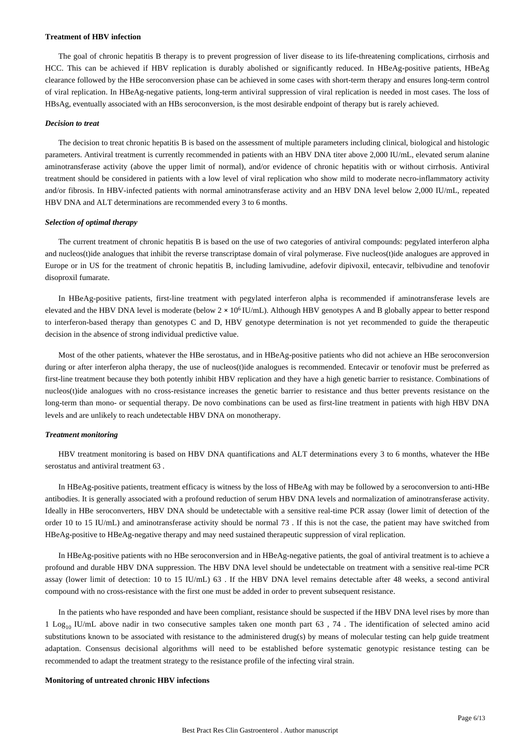#### **Treatment of HBV infection**

The goal of chronic hepatitis B therapy is to prevent progression of liver disease to its life-threatening complications, cirrhosis and HCC. This can be achieved if HBV replication is durably abolished or significantly reduced. In HBeAg-positive patients, HBeAg clearance followed by the HBe seroconversion phase can be achieved in some cases with short-term therapy and ensures long-term control of viral replication. In HBeAg-negative patients, long-term antiviral suppression of viral replication is needed in most cases. The loss of HBsAg, eventually associated with an HBs seroconversion, is the most desirable endpoint of therapy but is rarely achieved.

#### *Decision to treat*

The decision to treat chronic hepatitis B is based on the assessment of multiple parameters including clinical, biological and histologic parameters. Antiviral treatment is currently recommended in patients with an HBV DNA titer above 2,000 IU/mL, elevated serum alanine aminotransferase activity (above the upper limit of normal), and/or evidence of chronic hepatitis with or without cirrhosis. Antiviral treatment should be considered in patients with a low level of viral replication who show mild to moderate necro-inflammatory activity and/or fibrosis. In HBV-infected patients with normal aminotransferase activity and an HBV DNA level below 2,000 IU/mL, repeated HBV DNA and ALT determinations are recommended every 3 to 6 months.

#### *Selection of optimal therapy*

The current treatment of chronic hepatitis B is based on the use of two categories of antiviral compounds: pegylated interferon alpha and nucleos(t)ide analogues that inhibit the reverse transcriptase domain of viral polymerase. Five nucleos(t)ide analogues are approved in Europe or in US for the treatment of chronic hepatitis B, including lamivudine, adefovir dipivoxil, entecavir, telbivudine and tenofovir disoproxil fumarate.

In HBeAg-positive patients, first-line treatment with pegylated interferon alpha is recommended if aminotransferase levels are elevated and the HBV DNA level is moderate (below  $2 \times 10^6$  IU/mL). Although HBV genotypes A and B globally appear to better respond to interferon-based therapy than genotypes C and D, HBV genotype determination is not yet recommended to guide the therapeutic decision in the absence of strong individual predictive value.

Most of the other patients, whatever the HBe serostatus, and in HBeAg-positive patients who did not achieve an HBe seroconversion during or after interferon alpha therapy, the use of nucleos(t)ide analogues is recommended. Entecavir or tenofovir must be preferred as first-line treatment because they both potently inhibit HBV replication and they have a high genetic barrier to resistance. Combinations of nucleos(t)ide analogues with no cross-resistance increases the genetic barrier to resistance and thus better prevents resistance on the long-term than mono- or sequential therapy. De novo combinations can be used as first-line treatment in patients with high HBV DNA levels and are unlikely to reach undetectable HBV DNA on monotherapy.

#### *Treatment monitoring*

HBV treatment monitoring is based on HBV DNA quantifications and ALT determinations every 3 to 6 months, whatever the HBe serostatus and antiviral treatment 63 .

In HBeAg-positive patients, treatment efficacy is witness by the loss of HBeAg with may be followed by a seroconversion to anti-HBe antibodies. It is generally associated with a profound reduction of serum HBV DNA levels and normalization of aminotransferase activity. Ideally in HBe seroconverters, HBV DNA should be undetectable with a sensitive real-time PCR assay (lower limit of detection of the order 10 to 15 IU/mL) and aminotransferase activity should be normal 73 . If this is not the case, the patient may have switched from HBeAg-positive to HBeAg-negative therapy and may need sustained therapeutic suppression of viral replication.

In HBeAg-positive patients with no HBe seroconversion and in HBeAg-negative patients, the goal of antiviral treatment is to achieve a profound and durable HBV DNA suppression. The HBV DNA level should be undetectable on treatment with a sensitive real-time PCR assay (lower limit of detection: 10 to 15 IU/mL) 63 . If the HBV DNA level remains detectable after 48 weeks, a second antiviral compound with no cross-resistance with the first one must be added in order to prevent subsequent resistance.

In the patients who have responded and have been compliant, resistance should be suspected if the HBV DNA level rises by more than 1 Log<sub>10</sub> IU/mL above nadir in two consecutive samples taken one month part 63, 74. The identification of selected amino acid substitutions known to be associated with resistance to the administered drug(s) by means of molecular testing can help guide treatment adaptation. Consensus decisional algorithms will need to be established before systematic genotypic resistance testing can be recommended to adapt the treatment strategy to the resistance profile of the infecting viral strain.

#### **Monitoring of untreated chronic HBV infections**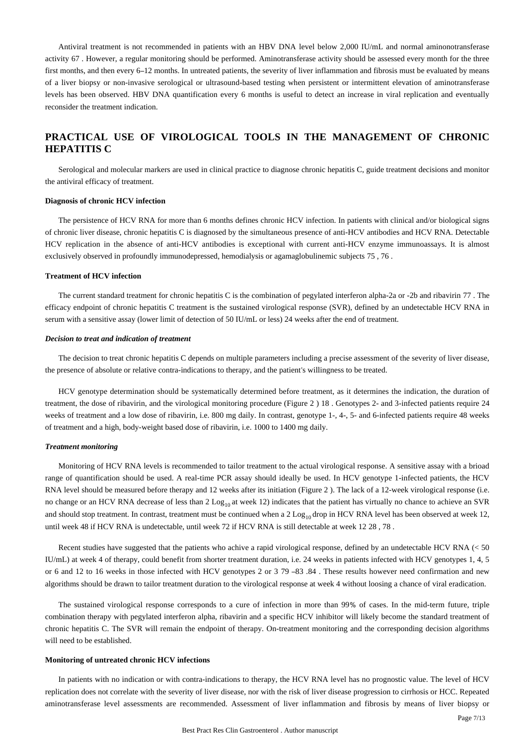Antiviral treatment is not recommended in patients with an HBV DNA level below 2,000 IU/mL and normal aminonotransferase activity 67 . However, a regular monitoring should be performed. Aminotransferase activity should be assessed every month for the three first months, and then every 6–12 months. In untreated patients, the severity of liver inflammation and fibrosis must be evaluated by means of a liver biopsy or non-invasive serological or ultrasound-based testing when persistent or intermittent elevation of aminotransferase levels has been observed. HBV DNA quantification every 6 months is useful to detect an increase in viral replication and eventually reconsider the treatment indication.

# **PRACTICAL USE OF VIROLOGICAL TOOLS IN THE MANAGEMENT OF CHRONIC HEPATITIS C**

Serological and molecular markers are used in clinical practice to diagnose chronic hepatitis C, guide treatment decisions and monitor the antiviral efficacy of treatment.

#### **Diagnosis of chronic HCV infection**

The persistence of HCV RNA for more than 6 months defines chronic HCV infection. In patients with clinical and/or biological signs of chronic liver disease, chronic hepatitis C is diagnosed by the simultaneous presence of anti-HCV antibodies and HCV RNA. Detectable HCV replication in the absence of anti-HCV antibodies is exceptional with current anti-HCV enzyme immunoassays. It is almost exclusively observed in profoundly immunodepressed, hemodialysis or agamaglobulinemic subjects 75 , 76 .

#### **Treatment of HCV infection**

The current standard treatment for chronic hepatitis C is the combination of pegylated interferon alpha-2a or -2b and ribavirin 77 . The efficacy endpoint of chronic hepatitis C treatment is the sustained virological response (SVR), defined by an undetectable HCV RNA in serum with a sensitive assay (lower limit of detection of 50 IU/mL or less) 24 weeks after the end of treatment.

#### *Decision to treat and indication of treatment*

The decision to treat chronic hepatitis C depends on multiple parameters including a precise assessment of the severity of liver disease, the presence of absolute or relative contra-indications to therapy, and the patient's willingness to be treated.

HCV genotype determination should be systematically determined before treatment, as it determines the indication, the duration of treatment, the dose of ribavirin, and the virological monitoring procedure (Figure 2 ) 18 . Genotypes 2- and 3-infected patients require 24 weeks of treatment and a low dose of ribavirin, i.e. 800 mg daily. In contrast, genotype 1-, 4-, 5- and 6-infected patients require 48 weeks of treatment and a high, body-weight based dose of ribavirin, i.e. 1000 to 1400 mg daily.

#### *Treatment monitoring*

Monitoring of HCV RNA levels is recommended to tailor treatment to the actual virological response. A sensitive assay with a brioad range of quantification should be used. A real-time PCR assay should ideally be used. In HCV genotype 1-infected patients, the HCV RNA level should be measured before therapy and 12 weeks after its initiation (Figure 2 ). The lack of a 12-week virological response (i.e. no change or an HCV RNA decrease of less than 2 Log<sub>10</sub> at week 12) indicates that the patient has virtually no chance to achieve an SVR and should stop treatment. In contrast, treatment must be continued when a 2 Log<sub>10</sub> drop in HCV RNA level has been observed at week 12, until week 48 if HCV RNA is undetectable, until week 72 if HCV RNA is still detectable at week 12 28 , 78 .

Recent studies have suggested that the patients who achive a rapid virological response, defined by an undetectable HCV RNA (< 50 IU/mL) at week 4 of therapy, could benefit from shorter treatment duration, i.e. 24 weeks in patients infected with HCV genotypes 1, 4, 5 or 6 and 12 to 16 weeks in those infected with HCV genotypes 2 or 3 79 –83 .84 . These results however need confirmation and new algorithms should be drawn to tailor treatment duration to the virological response at week 4 without loosing a chance of viral eradication.

The sustained virological response corresponds to a cure of infection in more than 99% of cases. In the mid-term future, triple combination therapy with pegylated interferon alpha, ribavirin and a specific HCV inhibitor will likely become the standard treatment of chronic hepatitis C. The SVR will remain the endpoint of therapy. On-treatment monitoring and the corresponding decision algorithms will need to be established.

#### **Monitoring of untreated chronic HCV infections**

In patients with no indication or with contra-indications to therapy, the HCV RNA level has no prognostic value. The level of HCV replication does not correlate with the severity of liver disease, nor with the risk of liver disease progression to cirrhosis or HCC. Repeated aminotransferase level assessments are recommended. Assessment of liver inflammation and fibrosis by means of liver biopsy or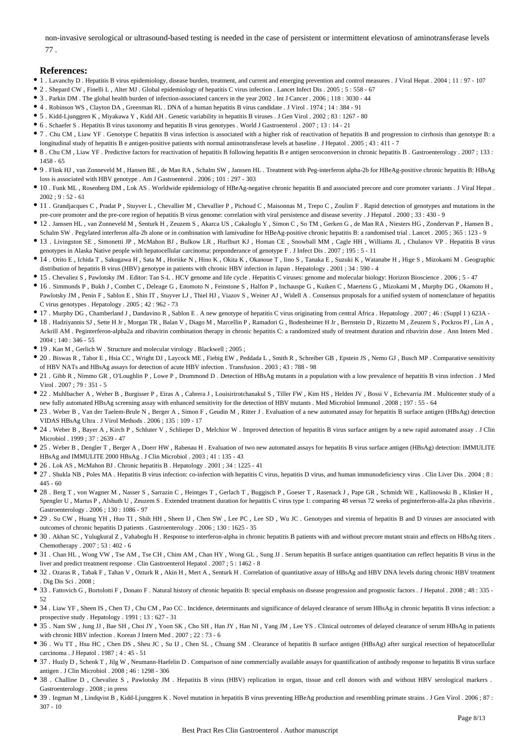non-invasive serological or ultrasound-based testing is needed in the case of persistent or intermittent elevatiosn of aminotransferase levels 77 .

## **References:**

- 1 . Lavanchy D . Hepatitis B virus epidemiology, disease burden, treatment, and current and emerging prevention and control measures . J Viral Hepat . 2004 ; 11 : 97 107
- 2 . Shepard CW , Finelli L , Alter MJ . Global epidemiology of hepatitis C virus infection . Lancet Infect Dis . 2005 ; 5 : 558 67
- 3 . Parkin DM . The global health burden of infection-associated cancers in the year 2002 . Int J Cancer . 2006 ; 118 : 3030 44
- 4 . Robinson WS , Clayton DA , Greenman RL . DNA of a human hepatitis B virus candidate . J Virol . 1974 ; 14 : 384 91
- 5 . Kidd-Ljunggren K , Miyakawa Y , Kidd AH . Genetic variability in hepatitis B viruses . J Gen Virol . 2002 ; 83 : 1267 80
- 6 . Schaefer S . Hepatitis B virus taxonomy and hepatitis B virus genotypes . World J Gastroenterol . 2007 ; 13 : 14 21
- 7 . Chu CM , Liaw YF . Genotype C hepatitis B virus infection is associated with a higher risk of reactivation of hepatitis B and progression to cirrhosis than genotype B: a longitudinal study of hepatitis B e antigen-positive patients with normal aminotransferase levels at baseline . J Hepatol . 2005 ; 43 : 411 - 7
- 8 . Chu CM , Liaw YF . Predictive factors for reactivation of hepatitis B following hepatitis B e antigen seroconversion in chronic hepatitis B . Gastroenterology . 2007 ; 133 : 1458 - 65
- 9 . Flink HJ , van Zonneveld M , Hansen BE , de Man RA , Schalm SW , Janssen HL . Treatment with Peg-interferon alpha-2b for HBeAg-positive chronic hepatitis B: HBsAg loss is associated with HBV genotype . Am J Gastroenterol . 2006 ; 101 : 297 - 303
- 10 . Funk ML , Rosenberg DM , Lok AS . Worldwide epidemiology of HBeAg-negative chronic hepatitis B and associated precore and core promoter variants . J Viral Hepat .  $2002:9:52-61$
- 11 . Grandjacques C , Pradat P , Stuyver L , Chevallier M , Chevallier P , Pichoud C , Maisonnas M , Trepo C , Zoulim F . Rapid detection of genotypes and mutations in the pre-core promoter and the pre-core region of hepatitis B virus genome: correlation with viral persistence and disease severity . J Hepatol . 2000 ; 33 : 430 - 9
- 12 . Janssen HL , van Zonneveld M , Senturk H , Zeuzem S , Akarca US , Cakaloglu Y , Simon C , So TM , Gerken G , de Man RA , Niesters HG , Zondervan P , Hansen B ,
- Schalm SW . Pegylated interferon alfa-2b alone or in combination with lamivudine for HBeAg-positive chronic hepatitis B: a randomised trial . Lancet . 2005 ; 365 : 123 9 13 . Livingston SE , Simonetti JP , McMahon BJ , Bulkow LR , Hurlburt KJ , Homan CE , Snowball MM , Cagle HH , Williams JL , Chulanov VP . Hepatitis B virus
- genotypes in Alaska Native people with hepatocellular carcinoma: preponderance of genotype F . J Infect Dis . 2007 ; 195 : 5 11 14 . Orito E , Ichida T , Sakugawa H , Sata M , Horiike N , Hino K , Okita K , Okanoue T , Iino S , Tanaka E , Suzuki K , Watanabe H , Hige S , Mizokami M . Geographic distribution of hepatitis B virus (HBV) genotype in patients with chronic HBV infection in Japan . Hepatology . 2001 ; 34 : 590 - 4
- 15 . Chevaliez S , Pawlotsky JM . Editor: Tan S-L . HCV genome and life cycle . Hepatitis C viruses: genome and molecular biology: Horizon Bioscience . 2006 ; 5 47
- 16 . Simmonds P , Bukh J , Combet C , Deleage G , Enomoto N , Feinstone S , Halfon P , Inchauspe G , Kuiken C , Maertens G , Mizokami M , Murphy DG , Okamoto H , Pawlotsky JM , Penin F, Sablon E, Shin IT, Stuyver LJ, Thiel HJ, Viazov S, Weiner AJ, Widell A. Consensus proposals for a unified system of nomenclature of hepatitis C virus genotypes . Hepatology . 2005 ; 42 : 962 - 73
- 17 . Murphy DG , Chamberland J , Dandavino R , Sablon E . A new genotype of hepatitis C virus originating from central Africa . Hepatology . 2007 ; 46 : (Suppl 1 ) 623A -
- 18 . Hadziyannis SJ , Sette H Jr , Morgan TR , Balan V , Diago M , Marcellin P , Ramadori G , Bodenheimer H Jr , Bernstein D , Rizzetto M , Zeuzem S , Pockros PJ , Lin A , Ackrill AM . Peginterferon-alpha2a and ribavirin combination therapy in chronic hepatitis C: a randomized study of treatment duration and ribavirin dose . Ann Intern Med . 2004 ; 140 : 346 - 55
- $\bullet$  19 . Kan M , Gerlich W . Structure and molecular virology . Blackwell ; 2005 ;
- 20 . Biswas R , Tabor E , Hsia CC , Wright DJ , Laycock ME , Fiebig EW , Peddada L , Smith R , Schreiber GB , Epstein JS , Nemo GJ , Busch MP . Comparative sensitivity of HBV NATs and HBsAg assays for detection of acute HBV infection . Transfusion . 2003 ; 43 : 788 - 98
- 21 . Gibb R , Nimmo GR , O'Loughlin P , Lowe P , Drummond D . Detection of HBsAg mutants in a population with a low prevalence of hepatitis B virus infection . J Med Virol . 2007 ; 79 : 351 - 5
- 22 . Muhlbacher A , Weber B , Burgisser P , Eiras A , Cabrera J , Louisirirotchanakul S , Tiller FW , Kim HS , Helden JV , Bossi V , Echevarria JM . Multicenter study of a new fully automated HBsAg screening assay with enhanced sensitivity for the detection of HBV mutants . Med Microbiol Immunol . 2008 ; 197 : 55 - 64
- 23 . Weber B , Van der Taelem-Brule N , Berger A , Simon F , Geudin M , Ritter J . Evaluation of a new automated assay for hepatitis B surface antigen (HBsAg) detection VIDAS HBsAg Ultra . J Virol Methods . 2006 ; 135 : 109 - 17
- 24 . Weber B , Bayer A , Kirch P , Schluter V , Schlieper D , Melchior W . Improved detection of hepatitis B virus surface antigen by a new rapid automated assay . J Clin Microbiol 1999 · 37 · 2639 - 47
- 25 . Weber B , Dengler T , Berger A , Doerr HW , Rabenau H . Evaluation of two new automated assays for hepatitis B virus surface antigen (HBsAg) detection: IMMULITE HBsAg and IMMULITE 2000 HBsAg . J Clin Microbiol . 2003 ; 41 : 135 - 43
- 26 . Lok AS , McMahon BJ . Chronic hepatitis B . Hepatology . 2001 ; 34 : 1225 41
- 27 . Shukla NB , Poles MA . Hepatitis B virus infection: co-infection with hepatitis C virus, hepatitis D virus, and human immunodeficiency virus . Clin Liver Dis . 2004 ; 8 :  $445 - 60$
- 28 . Berg T , von Wagner M , Nasser S , Sarrazin C , Heintges T , Gerlach T , Buggisch P , Goeser T , Rasenack J , Pape GR , Schmidt WE , Kallinowski B , Klinker H , Spengler U , Martus P , Alshuth U , Zeuzem S . Extended treatment duration for hepatitis C virus type 1: comparing 48 versus 72 weeks of peginterferon-alfa-2a plus ribavirin . Gastroenterology . 2006 ; 130 : 1086 - 97
- 29 . Su CW , Huang YH , Huo TI , Shih HH , Sheen IJ , Chen SW , Lee PC , Lee SD , Wu JC . Genotypes and viremia of hepatitis B and D viruses are associated with outcomes of chronic hepatitis D patients . Gastroenterology . 2006 ; 130 : 1625 - 35
- 30 . Akhan SC, Yulugkural Z, Vahaboglu H. Response to interferon-alpha in chronic hepatitis B patients with and without precore mutant strain and effects on HBsAg titers . Chemotherapy . 2007 ; 53 : 402 - 6
- 31 . Chan HL , Wong VW , Tse AM , Tse CH , Chim AM , Chan HY , Wong GL , Sung JJ . Serum hepatitis B surface antigen quantitation can reflect hepatitis B virus in the liver and predict treatment response . Clin Gastroenterol Hepatol . 2007 ; 5 : 1462 - 8
- 32 . Ozaras R , Tabak F , Tahan V , Ozturk R , Akin H , Mert A , Senturk H . Correlation of quantitative assay of HBsAg and HBV DNA levels during chronic HBV treatment . Dig Dis Sci . 2008 ;
- 33 . Fattovich G , Bortolotti F , Donato F . Natural history of chronic hepatitis B: special emphasis on disease progression and prognostic factors . J Hepatol . 2008 ; 48 : 335 -52
- 34 . Liaw YF , Sheen IS , Chen TJ , Chu CM , Pao CC . Incidence, determinants and significance of delayed clearance of serum HBsAg in chronic hepatitis B virus infection: a prospective study . Hepatology . 1991 ; 13 : 627 - 31
- 35 . Nam SW , Jung JJ , Bae SH , Choi JY , Yoon SK , Cho SH , Han JY , Han NI , Yang JM , Lee YS . Clinical outcomes of delayed clearance of serum HBsAg in patients with chronic HBV infection . Korean J Intern Med . 2007 ; 22 : 73 - 6
- 36 . Wu TT , Hsu HC , Chen DS , Sheu JC , Su IJ , Chen SL , Chuang SM . Clearance of hepatitis B surface antigen (HBsAg) after surgical resection of hepatocellular carcinoma . J Hepatol . 1987 ; 4 : 45 - 51
- 37 . Huzly D , Schenk T , Jilg W , Neumann-Haefelin D . Comparison of nine commercially available assays for quantification of antibody response to hepatitis B virus surface antigen . J Clin Microbiol . 2008 ; 46 : 1298 - 306
- 38 . Challine D , Chevaliez S , Pawlotsky JM . Hepatitis B virus (HBV) replication in organ, tissue and cell donors with and without HBV serological markers . Gastroenterology . 2008 ; in press
- 39 . Ingman M , Lindqvist B , Kidd-Ljunggren K . Novel mutation in hepatitis B virus preventing HBeAg production and resembling primate strains . J Gen Virol . 2006 ; 87 : 307 - 10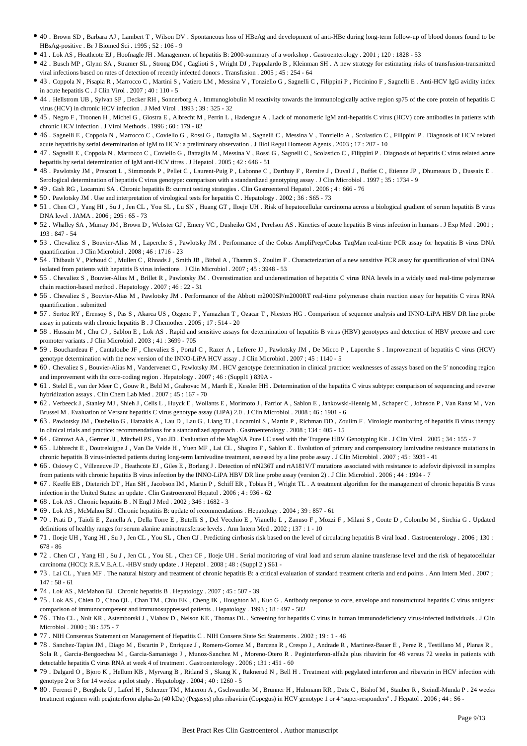- 40 . Brown SD , Barbara AJ , Lambert T , Wilson DV . Spontaneous loss of HBeAg and development of anti-HBe during long-term follow-up of blood donors found to be HBsAg-positive . Br J Biomed Sci . 1995 ; 52 : 106 - 9
- 41 . Lok AS , Heathcote EJ , Hoofnagle JH . Management of hepatitis B: 2000-summary of a workshop . Gastroenterology . 2001 ; 120 : 1828 53
- 42 . Busch MP , Glynn SA , Stramer SL , Strong DM , Caglioti S , Wright DJ , Pappalardo B , Kleinman SH . A new strategy for estimating risks of transfusion-transmitted viral infections based on rates of detection of recently infected donors . Transfusion . 2005 ; 45 : 254 - 64
- 43 . Coppola N , Pisapia R , Marrocco C , Martini S , Vatiero LM , Messina V , Tonziello G , Sagnelli C , Filippini P , Piccinino F , Sagnelli E . Anti-HCV IgG avidity index in acute hepatitis C . J Clin Virol . 2007 ; 40 : 110 - 5
- 44 . Hellstrom UB , Sylvan SP , Decker RH , Sonnerborg A . Immunoglobulin M reactivity towards the immunologically active region sp75 of the core protein of hepatitis C virus (HCV) in chronic HCV infection . J Med Virol . 1993 ; 39 : 325 - 32
- 45 . Negro F , Troonen H , Michel G , Giostra E , Albrecht M , Perrin L , Hadengue A . Lack of monomeric IgM anti-hepatitis C virus (HCV) core antibodies in patients with chronic HCV infection . J Virol Methods . 1996 ; 60 : 179 - 82
- 46 . Sagnelli E , Coppola N , Marrocco C , Coviello G , Rossi G , Battaglia M , Sagnelli C , Messina V , Tonziello A , Scolastico C , Filippini P . Diagnosis of HCV related acute hepatitis by serial determination of IgM to HCV: a preliminary observation . J Biol Regul Homeost Agents . 2003 ; 17 : 207 - 10
- 47 . Sagnelli E , Coppola N , Marrocco C , Coviello G , Battaglia M , Messina V , Rossi G , Sagnelli C , Scolastico C , Filippini P . Diagnosis of hepatitis C virus related acute hepatitis by serial determination of IgM anti-HCV titres . J Hepatol . 2005 ; 42 : 646 - 51
- 48 . Pawlotsky JM , Prescott L , Simmonds P , Pellet C , Laurent-Puig P , Labonne C , Darthuy F , Remire J , Duval J , Buffet C , Etienne JP , Dhumeaux D , Dussaix E . Serological determination of hepatitis C virus genotype: comparison with a standardized genotyping assay . J Clin Microbiol . 1997 ; 35 : 1734 - 9
- 49 . Gish RG , Locarnini SA . Chronic hepatitis B: current testing strategies . Clin Gastroenterol Hepatol . 2006 ; 4 : 666 76
- 50 . Pawlotsky JM . Use and interpretation of virological tests for hepatitis C . Hepatology . 2002 ; 36 : S65 73
- 51 . Chen CJ , Yang HI , Su J , Jen CL , You SL , Lu SN , Huang GT , Iloeje UH . Risk of hepatocellular carcinoma across a biological gradient of serum hepatitis B virus DNA level . JAMA . 2006 ; 295 : 65 - 73
- 52 . Whalley SA , Murray JM , Brown D , Webster GJ , Emery VC , Dusheiko GM , Perelson AS . Kinetics of acute hepatitis B virus infection in humans . J Exp Med . 2001 ; 193 : 847 - 54
- 53 . Chevaliez S , Bouvier-Alias M , Laperche S , Pawlotsky JM . Performance of the Cobas AmpliPrep/Cobas TaqMan real-time PCR assay for hepatitis B virus DNA quantification . J Clin Microbiol . 2008 ; 46 : 1716 - 23
- 54 . Thibault V , Pichoud C , Mullen C , Rhoads J , Smith JB , Bitbol A , Thamm S , Zoulim F . Characterization of a new sensitive PCR assay for quantification of viral DNA isolated from patients with hepatitis B virus infections . J Clin Microbiol . 2007 ; 45 : 3948 - 53
- 55 . Chevaliez S , Bouvier-Alias M , Brillet R , Pawlotsky JM . Overestimation and underestimation of hepatitis C virus RNA levels in a widely used real-time polymerase chain reaction-based method . Hepatology . 2007 ; 46 : 22 - 31
- 56 . Chevaliez S , Bouvier-Alias M , Pawlotsky JM . Performance of the Abbott m2000SP/m2000RT real-time polymerase chain reaction assay for hepatitis C virus RNA quantification . submitted
- 57 . Sertoz RY , Erensoy S , Pas S , Akarca US , Ozgenc F , Yamazhan T , Ozacar T , Niesters HG . Comparison of sequence analysis and INNO-LiPA HBV DR line probe assay in patients with chronic hepatitis B . J Chemother . 2005 ; 17 : 514 - 20
- 58 . Hussain M , Chu CJ , Sablon E , Lok AS . Rapid and sensitive assays for determination of hepatitis B virus (HBV) genotypes and detection of HBV precore and core promoter variants . J Clin Microbiol . 2003 ; 41 : 3699 - 705
- 59 . Bouchardeau F , Cantaloube JF , Chevaliez S , Portal C , Razer A , Lefrere JJ , Pawlotsky JM , De Micco P , Laperche S . Improvement of hepatitis C virus (HCV) genotype determination with the new version of the INNO-LiPA HCV assay . J Clin Microbiol . 2007 ; 45 : 1140 - 5
- 60. Chevaliez S, Bouvier-Alias M, Vandervenet C, Pawlotsky JM. HCV genotype determination in clinical practice: weaknesses of assays based on the 5' noncoding region and improvement with the core-coding region . Hepatology . 2007 ; 46 : (Suppl1 ) 839A -
- 61 . Stelzl E , van der Meer C , Gouw R , Beld M , Grahovac M , Marth E , Kessler HH . Determination of the hepatitis C virus subtype: comparison of sequencing and reverse hybridization assays . Clin Chem Lab Med . 2007 ; 45 : 167 - 70
- 62 . Verbeeck J , Stanley MJ , Shieh J , Celis L , Huyck E , Wollants E , Morimoto J , Farrior A , Sablon E , Jankowski-Hennig M , Schaper C , Johnson P , Van Ranst M , Van Brussel M . Evaluation of Versant hepatitis C virus genotype assay (LiPA) 2.0 . J Clin Microbiol . 2008 ; 46 : 1901 - 6
- 63 . Pawlotsky JM , Dusheiko G , Hatzakis A , Lau D , Lau G , Liang TJ , Locarnini S , Martin P , Richman DD , Zoulim F . Virologic monitoring of hepatitis B virus therapy in clinical trials and practice: recommendations for a standardized approach . Gastroenterology . 2008 ; 134 : 405 - 15
- 64 . Gintowt AA , Germer JJ , Mitchell PS , Yao JD . Evaluation of the MagNA Pure LC used with the Trugene HBV Genotyping Kit . J Clin Virol . 2005 ; 34 : 155 7
- 65 . Libbrecht E , Doutreloigne J , Van De Velde H , Yuen MF , Lai CL , Shapiro F , Sablon E . Evolution of primary and compensatory lamivudine resistance mutations in chronic hepatitis B virus-infected patients during long-term lamivudine treatment, assessed by a line probe assay . J Clin Microbiol . 2007 ; 45 : 3935 - 41
- 66 . Osiowy C , Villeneuve JP , Heathcote EJ , Giles E , Borlang J . Detection of rtN236T and rtA181V/T mutations associated with resistance to adefovir dipivoxil in samples from patients with chronic hepatitis B virus infection by the INNO-LiPA HBV DR line probe assay (version 2) . J Clin Microbiol . 2006 ; 44 : 1994 - 7
- 67 . Keeffe EB , Dieterich DT , Han SH , Jacobson IM , Martin P , Schiff ER , Tobias H , Wright TL . A treatment algorithm for the management of chronic hepatitis B virus infection in the United States: an update . Clin Gastroenterol Hepatol . 2006 :  $4 \cdot 936 - 62$
- $\bullet$  68 . Lok AS . Chronic hepatitis B . N Engl J Med . 2002 ; 346 : 1682 3
- 69 . Lok AS , McMahon BJ . Chronic hepatitis B: update of recommendations . Hepatology . 2004 ; 39 : 857 61
- 70 . Prati D , Taioli E , Zanella A , Della Torre E , Butelli S , Del Vecchio E , Vianello L , Zanuso F , Mozzi F , Milani S , Conte D , Colombo M , Sirchia G . Updated definitions of healthy ranges for serum alanine aminotransferase levels . Ann Intern Med . 2002 ; 137 : 1 - 10
- 71 . Iloeje UH , Yang HI , Su J , Jen CL , You SL , Chen CJ . Predicting cirrhosis risk based on the level of circulating hepatitis B viral load . Gastroenterology . 2006 ; 130 : 678 - 86
- 72 . Chen CJ, Yang HI, Su J, Jen CL, You SL, Chen CF, Iloeje UH . Serial monitoring of viral load and serum alanine transferase level and the risk of hepatocellular carcinoma (HCC): R.E.V.E.A.L. -HBV study update . J Hepatol . 2008 ; 48 : (Suppl 2 ) S61 -
- 73 . Lai CL , Yuen MF . The natural history and treatment of chronic hepatitis B: a critical evaluation of standard treatment criteria and end points . Ann Intern Med . 2007 ; 147 : 58 - 61
- 74 . Lok AS , McMahon BJ . Chronic hepatitis B . Hepatology . 2007 ; 45 : 507 39
- 75 . Lok AS , Chien D , Choo QL , Chan TM , Chiu EK , Cheng IK , Houghton M , Kuo G . Antibody response to core, envelope and nonstructural hepatitis C virus antigens: comparison of immunocompetent and immunosuppressed patients . Hepatology . 1993 ; 18 : 497 - 502
- 76 . Thio CL , Nolt KR , Astemborski J , Vlahov D , Nelson KE , Thomas DL . Screening for hepatitis C virus in human immunodeficiency virus-infected individuals . J Clin Microbiol . 2000 ; 38 : 575 - 7
- 77 . NIH Consensus Statement on Management of Hepatitis C . NIH Consens State Sci Statements . 2002 ; 19 : 1 46
- 78 . Sanchez-Tapias JM , Diago M , Escartin P , Enriquez J , Romero-Gomez M , Barcena R , Crespo J , Andrade R , Martinez-Bauer E , Perez R , Testillano M , Planas R , Sola R , Garcia-Bengoechea M , Garcia-Samaniego J , Munoz-Sanchez M , Moreno-Otero R . Peginterferon-alfa2a plus ribavirin for 48 versus 72 weeks in patients with detectable hepatitis C virus RNA at week 4 of treatment . Gastroenterology . 2006 ; 131 : 451 - 60
- 79 . Dalgard O , Bjoro K , Hellum KB , Myrvang B , Ritland S , Skaug K , Raknerud N , Bell H . Treatment with pegylated interferon and ribavarin in HCV infection with genotype 2 or 3 for 14 weeks: a pilot study . Hepatology . 2004 ; 40 : 1260 - 5
- 80 . Ferenci P , Bergholz U , Laferl H , Scherzer TM , Maieron A , Gschwantler M , Brunner H , Hubmann RR , Datz C , Bishof M , Stauber R , Steindl-Munda P . 24 weeks treatment regimen with peginterferon alpha-2a (40 kDa) (Pegasys) plus ribavirin (Copegus) in HCV genotype 1 or 4 "super-responders" . J Hepatol . 2006 ; 44 : S6 -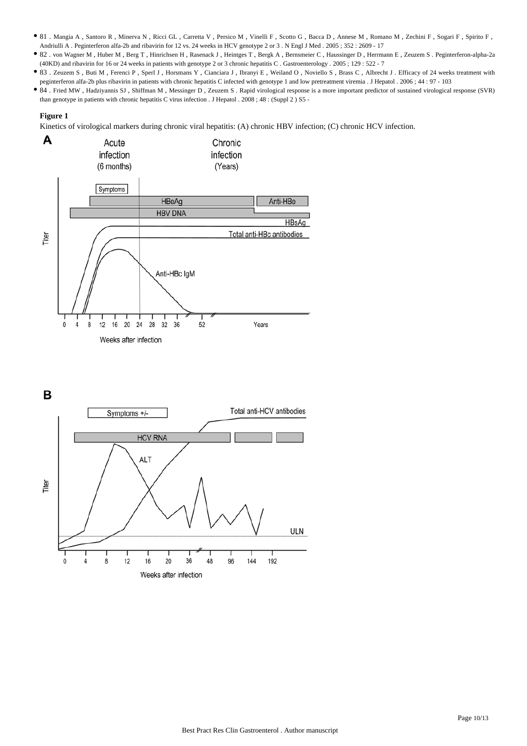- 81 . Mangia A , Santoro R , Minerva N , Ricci GL , Carretta V , Persico M , Vinelli F , Scotto G , Bacca D , Annese M , Romano M , Zechini F , Sogari F , Spirito F , Andriulli A . Peginterferon alfa-2b and ribavirin for 12 vs. 24 weeks in HCV genotype 2 or 3 . N Engl J Med . 2005 ; 352 : 2609 - 17
- 82 . von Wagner M , Huber M , Berg T , Hinrichsen H , Rasenack J , Heintges T , Bergk A , Bernsmeier C , Haussinger D , Herrmann E , Zeuzem S . Peginterferon-alpha-2a (40KD) and ribavirin for 16 or 24 weeks in patients with genotype 2 or 3 chronic hepatitis C . Gastroenterology . 2005 ; 129 : 522 - 7
- 83 . Zeuzem S, Buti M, Ferenci P, Sperl J, Horsmans Y, Cianciara J, Ibranyi E, Weiland O, Noviello S, Brass C, Albrecht J. Efficacy of 24 weeks treatment with peginterferon alfa-2b plus ribavirin in patients with chronic hepatitis C infected with genotype 1 and low pretreatment viremia . J Hepatol . 2006 ; 44 : 97 - 103
- 84 . Fried MW , Hadziyannis SJ , Shiffman M , Messinger D , Zeuzem S . Rapid virological response is a more important predictor of sustained virological response (SVR) than genotype in patients with chronic hepatitis C virus infection . J Hepatol . 2008 ; 48 : (Suppl 2 ) S5 -

### **Figure 1**

Kinetics of virological markers during chronic viral hepatitis: (A) chronic HBV infection; (C) chronic HCV infection.



B

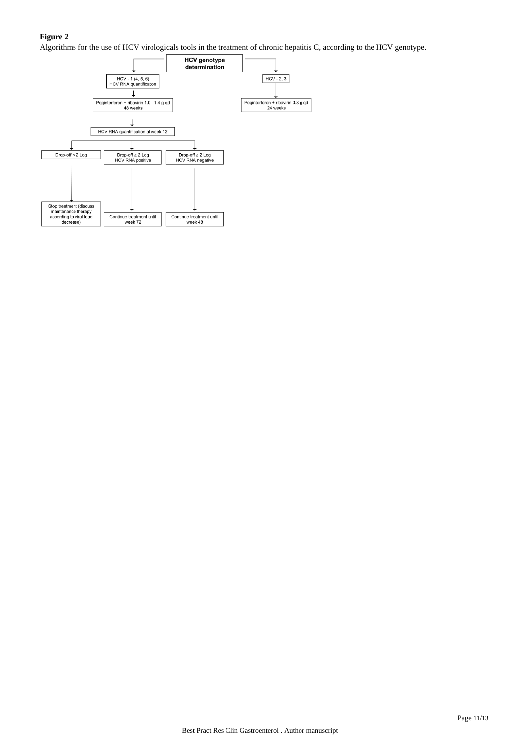# **Figure 2**

Algorithms for the use of HCV virologicals tools in the treatment of chronic hepatitis C, according to the HCV genotype.

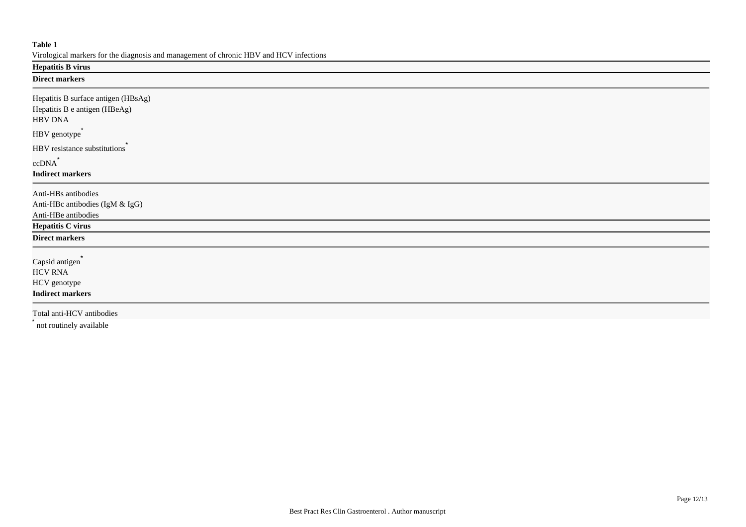## **Table 1**

Virological markers for the diagnosis and management of chronic HBV and HCV infections

# **Hepatitis B virus**

# **Direct markers**

| Hepatitis B surface antigen (HBsAg)<br>Hepatitis B e antigen (HBeAg)<br><b>HBV DNA</b> |
|----------------------------------------------------------------------------------------|
| HBV genotype <sup>®</sup>                                                              |
| HBV resistance substitutions                                                           |
| $ccDNA^*$                                                                              |
| <b>Indirect markers</b>                                                                |
| Anti-HBs antibodies                                                                    |
| Anti-HBc antibodies (IgM & IgG)                                                        |
| Anti-HBe antibodies                                                                    |
| <b>Hepatitis C virus</b>                                                               |
| <b>Direct markers</b>                                                                  |
| Capsid antigen <sup>*</sup>                                                            |
| <b>HCV RNA</b>                                                                         |
| HCV genotype                                                                           |
| <b>Indirect markers</b>                                                                |
| Total anti-HCV antibodies                                                              |

\* not routinely available